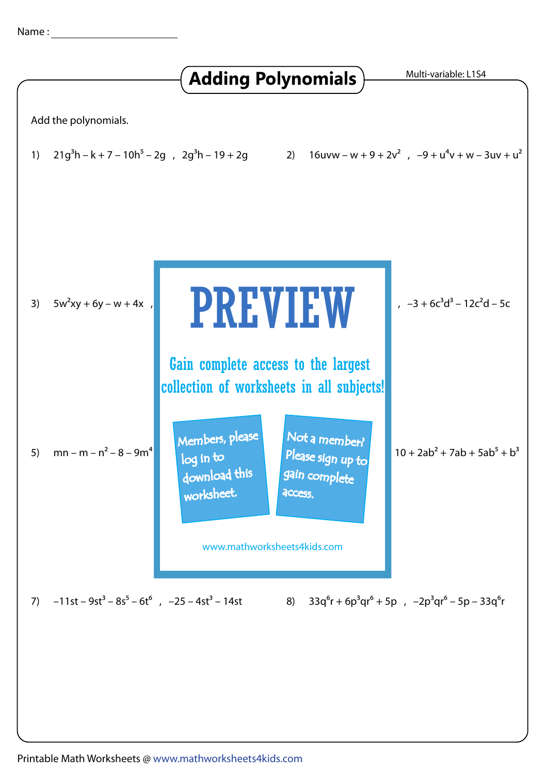